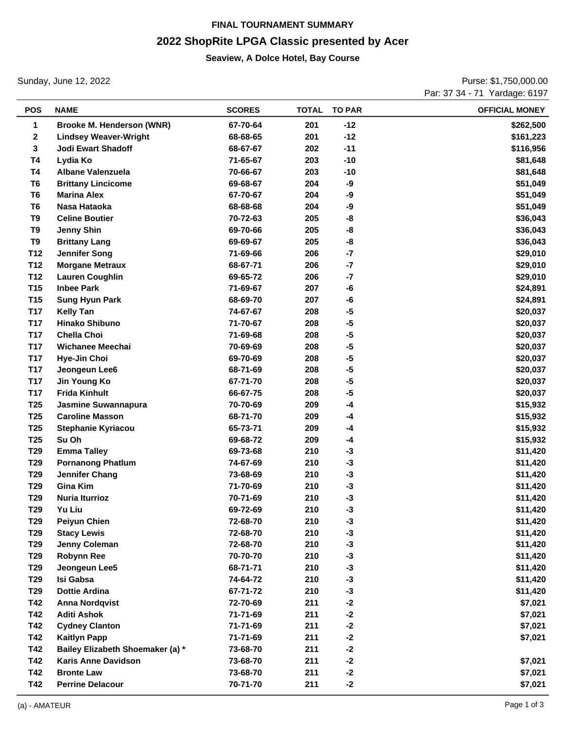# **FINAL TOURNAMENT SUMMARY 2022 ShopRite LPGA Classic presented by Acer**

#### **Seaview, A Dolce Hotel, Bay Course**

Sunday, June 12, 2022

Purse: \$1,750,000.00 Par: 37 34 - 71 Yardage: 6197

|                 |                                  |               |     |              | .                     |
|-----------------|----------------------------------|---------------|-----|--------------|-----------------------|
| <b>POS</b>      | <b>NAME</b>                      | <b>SCORES</b> |     | TOTAL TO PAR | <b>OFFICIAL MONEY</b> |
| 1               | Brooke M. Henderson (WNR)        | 67-70-64      | 201 | $-12$        | \$262,500             |
| 2               | <b>Lindsey Weaver-Wright</b>     | 68-68-65      | 201 | $-12$        | \$161,223             |
| 3               | <b>Jodi Ewart Shadoff</b>        | 68-67-67      | 202 | $-11$        | \$116,956             |
| T4              | Lydia Ko                         | 71-65-67      | 203 | $-10$        | \$81,648              |
| T4              | Albane Valenzuela                | 70-66-67      | 203 | $-10$        | \$81,648              |
| T <sub>6</sub>  | <b>Brittany Lincicome</b>        | 69-68-67      | 204 | -9           | \$51,049              |
| T <sub>6</sub>  | <b>Marina Alex</b>               | 67-70-67      | 204 | -9           | \$51,049              |
| T <sub>6</sub>  | Nasa Hataoka                     | 68-68-68      | 204 | -9           | \$51,049              |
| T9              | <b>Celine Boutier</b>            | 70-72-63      | 205 | -8           | \$36,043              |
| T9              | <b>Jenny Shin</b>                | 69-70-66      | 205 | -8           | \$36,043              |
| T9              | <b>Brittany Lang</b>             | 69-69-67      | 205 | -8           | \$36,043              |
| T <sub>12</sub> | <b>Jennifer Song</b>             | 71-69-66      | 206 | $-7$         | \$29,010              |
| T12             | <b>Morgane Metraux</b>           | 68-67-71      | 206 | $-7$         | \$29,010              |
| T12             | <b>Lauren Coughlin</b>           | 69-65-72      | 206 | $-7$         | \$29,010              |
| T <sub>15</sub> | <b>Inbee Park</b>                | 71-69-67      | 207 | -6           | \$24,891              |
| T <sub>15</sub> | <b>Sung Hyun Park</b>            | 68-69-70      | 207 | -6           | \$24,891              |
| <b>T17</b>      | <b>Kelly Tan</b>                 | 74-67-67      | 208 | $-5$         | \$20,037              |
| <b>T17</b>      | <b>Hinako Shibuno</b>            | 71-70-67      | 208 | $-5$         | \$20,037              |
| <b>T17</b>      | <b>Chella Choi</b>               | 71-69-68      | 208 | $-5$         | \$20,037              |
| <b>T17</b>      | Wichanee Meechai                 | 70-69-69      | 208 | $-5$         | \$20,037              |
| <b>T17</b>      | Hye-Jin Choi                     | 69-70-69      | 208 | $-5$         | \$20,037              |
| <b>T17</b>      | Jeongeun Lee6                    | 68-71-69      | 208 | $-5$         | \$20,037              |
| <b>T17</b>      | Jin Young Ko                     | 67-71-70      | 208 | $-5$         | \$20,037              |
| <b>T17</b>      | <b>Frida Kinhult</b>             | 66-67-75      | 208 | $-5$         | \$20,037              |
| T <sub>25</sub> | Jasmine Suwannapura              | 70-70-69      | 209 | $-4$         | \$15,932              |
| T <sub>25</sub> | <b>Caroline Masson</b>           | 68-71-70      | 209 | $-4$         | \$15,932              |
| T <sub>25</sub> | Stephanie Kyriacou               | 65-73-71      | 209 | $-4$         | \$15,932              |
| T <sub>25</sub> | Su Oh                            | 69-68-72      | 209 | $-4$         | \$15,932              |
| T <sub>29</sub> | <b>Emma Talley</b>               | 69-73-68      | 210 | $-3$         | \$11,420              |
| T <sub>29</sub> | <b>Pornanong Phatlum</b>         | 74-67-69      | 210 | $-3$         | \$11,420              |
| T29             | <b>Jennifer Chang</b>            | 73-68-69      | 210 | $-3$         | \$11,420              |
| T29             | <b>Gina Kim</b>                  | 71-70-69      | 210 | $-3$         | \$11,420              |
| T29             | <b>Nuria Iturrioz</b>            | 70-71-69      | 210 | $-3$         | \$11,420              |
| T <sub>29</sub> | Yu Liu                           | 69-72-69      | 210 | -3           | \$11,420              |
| T29             | <b>Peiyun Chien</b>              | 72-68-70      | 210 | $-3$         | \$11,420              |
| T <sub>29</sub> | <b>Stacy Lewis</b>               | 72-68-70      | 210 | $-3$         | \$11,420              |
| T <sub>29</sub> | Jenny Coleman                    | 72-68-70      | 210 | $-3$         | \$11,420              |
| T29             | <b>Robynn Ree</b>                | 70-70-70      | 210 | $-3$         | \$11,420              |
| T29             | Jeongeun Lee5                    | 68-71-71      | 210 | $-3$         | \$11,420              |
| T29             | <b>Isi Gabsa</b>                 | 74-64-72      | 210 | $-3$         | \$11,420              |
| T29             | <b>Dottie Ardina</b>             | 67-71-72      | 210 | $-3$         | \$11,420              |
| T42             | <b>Anna Nordqvist</b>            | 72-70-69      | 211 | $-2$         | \$7,021               |
| T42             | <b>Aditi Ashok</b>               | 71-71-69      | 211 | $-2$         | \$7,021               |
| T42             | <b>Cydney Clanton</b>            | 71-71-69      | 211 | $-2$         | \$7,021               |
| T42             | <b>Kaitlyn Papp</b>              | 71-71-69      | 211 | $-2$         | \$7,021               |
| T42             | Bailey Elizabeth Shoemaker (a) * | 73-68-70      | 211 | $-2$         |                       |
| T42             | <b>Karis Anne Davidson</b>       | 73-68-70      | 211 | $-2$         | \$7,021               |
| T42             | <b>Bronte Law</b>                | 73-68-70      | 211 | $-2$         | \$7,021               |
| T42             | <b>Perrine Delacour</b>          | 70-71-70      | 211 | $-2$         | \$7,021               |
|                 |                                  |               |     |              |                       |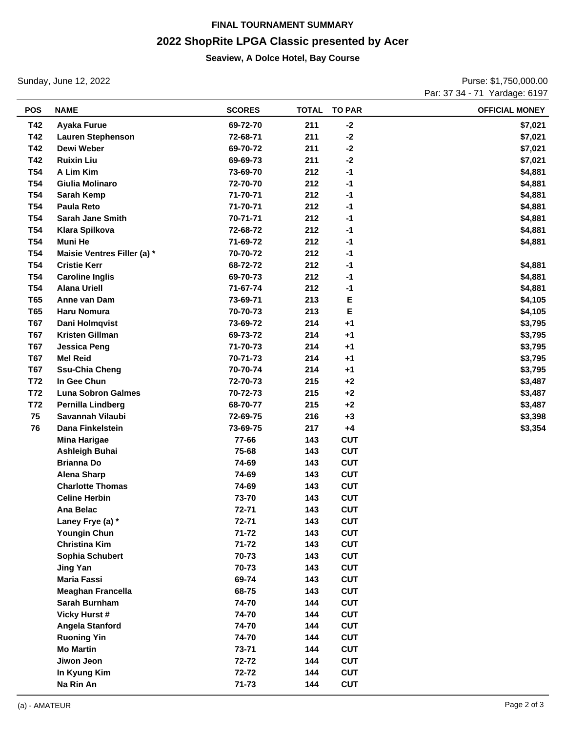# **FINAL TOURNAMENT SUMMARY 2022 ShopRite LPGA Classic presented by Acer**

#### **Seaview, A Dolce Hotel, Bay Course**

Sunday, June 12, 2022

Purse: \$1,750,000.00 Par: 37 34 - 71 Yardage: 6197

| <b>POS</b> | <b>NAME</b>                 | <b>SCORES</b> | <b>TOTAL</b> | <b>TO PAR</b> | <b>OFFICIAL MONEY</b> |
|------------|-----------------------------|---------------|--------------|---------------|-----------------------|
| T42        | <b>Ayaka Furue</b>          | 69-72-70      | 211          | $-2$          | \$7,021               |
| T42        | <b>Lauren Stephenson</b>    | 72-68-71      | 211          | $-2$          | \$7,021               |
| T42        | Dewi Weber                  | 69-70-72      | 211          | $-2$          | \$7,021               |
| T42        | <b>Ruixin Liu</b>           | 69-69-73      | 211          | $-2$          | \$7,021               |
| <b>T54</b> | A Lim Kim                   | 73-69-70      | 212          | $-1$          | \$4,881               |
| <b>T54</b> | Giulia Molinaro             | 72-70-70      | 212          | $-1$          | \$4,881               |
| <b>T54</b> | Sarah Kemp                  | 71-70-71      | 212          | $-1$          | \$4,881               |
| <b>T54</b> | <b>Paula Reto</b>           | 71-70-71      | 212          | $-1$          | \$4,881               |
| <b>T54</b> | <b>Sarah Jane Smith</b>     | 70-71-71      | 212          | $-1$          | \$4,881               |
| <b>T54</b> | <b>Klara Spilkova</b>       | 72-68-72      | 212          | $-1$          | \$4,881               |
| <b>T54</b> | Muni He                     | 71-69-72      | 212          | $-1$          | \$4,881               |
| <b>T54</b> | Maisie Ventres Filler (a) * | 70-70-72      | 212          | $-1$          |                       |
| <b>T54</b> | <b>Cristie Kerr</b>         | 68-72-72      | 212          | $-1$          | \$4,881               |
| <b>T54</b> | <b>Caroline Inglis</b>      | 69-70-73      | 212          | $-1$          | \$4,881               |
| <b>T54</b> | <b>Alana Uriell</b>         | 71-67-74      | 212          | $-1$          | \$4,881               |
| <b>T65</b> | Anne van Dam                | 73-69-71      | 213          | Е             | \$4,105               |
| <b>T65</b> | <b>Haru Nomura</b>          | 70-70-73      | 213          | E             | \$4,105               |
| <b>T67</b> | Dani Holmqvist              | 73-69-72      | 214          | $+1$          | \$3,795               |
| <b>T67</b> | <b>Kristen Gillman</b>      | 69-73-72      | 214          | $+1$          | \$3,795               |
| <b>T67</b> | <b>Jessica Peng</b>         | 71-70-73      | 214          | $+1$          | \$3,795               |
| <b>T67</b> | <b>Mel Reid</b>             | 70-71-73      | 214          | $+1$          | \$3,795               |
| <b>T67</b> | <b>Ssu-Chia Cheng</b>       | 70-70-74      | 214          | $+1$          | \$3,795               |
| T72        | In Gee Chun                 | 72-70-73      | 215          | $+2$          | \$3,487               |
| <b>T72</b> | <b>Luna Sobron Galmes</b>   | 70-72-73      | 215          | $+2$          | \$3,487               |
| T72        | Pernilla Lindberg           | 68-70-77      | 215          | $+2$          | \$3,487               |
| 75         | Savannah Vilaubi            | 72-69-75      | 216          | $+3$          | \$3,398               |
| 76         | Dana Finkelstein            | 73-69-75      | 217          | $+4$          | \$3,354               |
|            | <b>Mina Harigae</b>         | 77-66         | 143          | <b>CUT</b>    |                       |
|            | <b>Ashleigh Buhai</b>       | 75-68         | 143          | <b>CUT</b>    |                       |
|            | <b>Brianna Do</b>           | 74-69         | 143          | <b>CUT</b>    |                       |
|            | <b>Alena Sharp</b>          | 74-69         | 143          | <b>CUT</b>    |                       |
|            | <b>Charlotte Thomas</b>     | 74-69         | 143          | <b>CUT</b>    |                       |
|            | <b>Celine Herbin</b>        | 73-70         | 143          | <b>CUT</b>    |                       |
|            | Ana Belac                   | 72-71         | 143          | <b>CUT</b>    |                       |
|            | Laney Frye (a) *            | 72-71         | 143          | <b>CUT</b>    |                       |
|            | <b>Youngin Chun</b>         | $71 - 72$     | 143          | <b>CUT</b>    |                       |
|            | <b>Christina Kim</b>        | $71 - 72$     | 143          | <b>CUT</b>    |                       |
|            | Sophia Schubert             | 70-73         | 143          | <b>CUT</b>    |                       |
|            | <b>Jing Yan</b>             | 70-73         | 143          | <b>CUT</b>    |                       |
|            | <b>Maria Fassi</b>          | 69-74         | 143          | <b>CUT</b>    |                       |
|            | <b>Meaghan Francella</b>    | 68-75         | 143          | <b>CUT</b>    |                       |
|            | Sarah Burnham               | 74-70         | 144          | <b>CUT</b>    |                       |
|            | <b>Vicky Hurst #</b>        | 74-70         | 144          | <b>CUT</b>    |                       |
|            | Angela Stanford             | 74-70         | 144          | <b>CUT</b>    |                       |
|            | <b>Ruoning Yin</b>          | 74-70         | 144          | <b>CUT</b>    |                       |
|            | <b>Mo Martin</b>            | 73-71         | 144          | <b>CUT</b>    |                       |
|            | Jiwon Jeon                  | 72-72         | 144          | <b>CUT</b>    |                       |
|            | In Kyung Kim                | 72-72         | 144          | <b>CUT</b>    |                       |
|            | Na Rin An                   | $71 - 73$     | 144          | <b>CUT</b>    |                       |
|            |                             |               |              |               |                       |